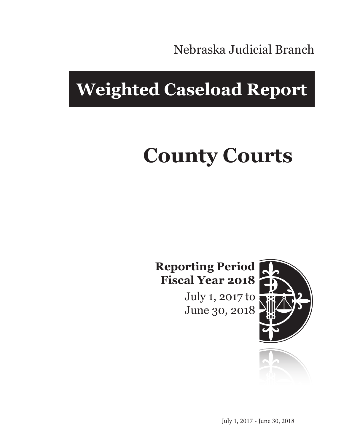Nebraska Judicial Branch

## **Weighted Caseload Report**

# **County Courts**

#### **Reporting Period Fiscal Year 2018**

July 1, 2017 to June 30, 2018



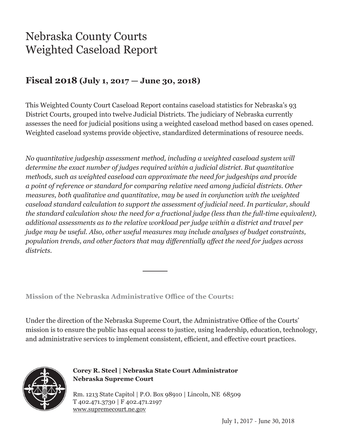### Nebraska County Courts Weighted Caseload Report

#### **Fiscal 2018 (July 1, 2017 — June 30, 2018)**

This Weighted County Court Caseload Report contains caseload statistics for Nebraska's 93 District Courts, grouped into twelve Judicial Districts. The judiciary of Nebraska currently assesses the need for judicial positions using a weighted caseload method based on cases opened. Weighted caseload systems provide objective, standardized determinations of resource needs.

*No quantitative judgeship assessment method, including a weighted caseload system will determine the exact number of judges required within a judicial district. But quantitative methods, such as weighted caseload can approximate the need for judgeships and provide a point of reference or standard for comparing relative need among judicial districts. Other measures, both qualitative and quantitative, may be used in conjunction with the weighted caseload standard calculation to support the assessment of judicial need. In particular, should the standard calculation show the need for a fractional judge (less than the full-time equivalent), additional assessments as to the relative workload per judge within a district and travel per judge may be useful. Also, other useful measures may include analyses of budget constraints, population trends, and other factors that may differentially affect the need for judges across districts.*

**Mission of the Nebraska Administrative Office of the Courts:**

Under the direction of the Nebraska Supreme Court, the Administrative Office of the Courts' mission is to ensure the public has equal access to justice, using leadership, education, technology, and administrative services to implement consistent, efficient, and effective court practices.



**Corey R. Steel | Nebraska State Court Administrator Nebraska Supreme Court**

Rm. 1213 State Capitol | P.O. Box 98910 | Lincoln, NE 68509 T 402.471.3730 | F 402.471.2197 www.supremecourt.ne.gov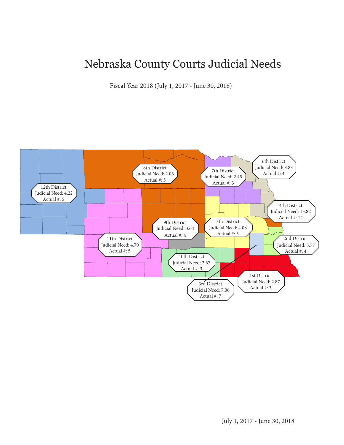### Nebraska County Courts Judicial Needs

Fiscal Year 2018 (July 1, 2017 - June 30, 2018)

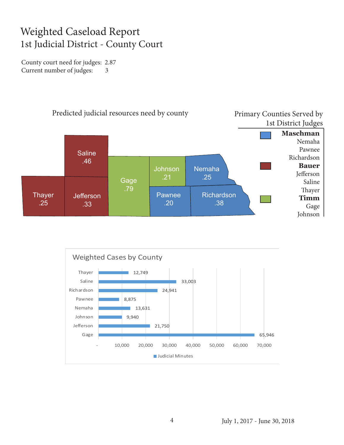#### Weighted Caseload Report 1st Judicial District - County Court

County court need for judges: 2.87 Current number of judges: 3



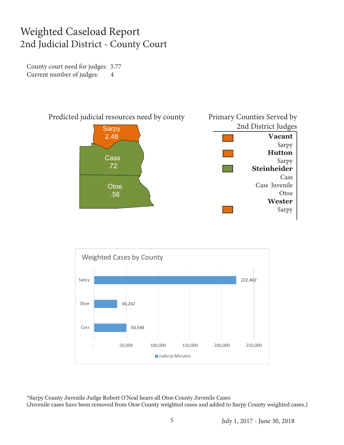#### Weighted Caseload Report 2nd Judicial District - County Court

County court need for judges: 3.77 Current number of judges: 4





\*Sarpy County Juvenile Judge Robert O'Neal hears all Otoe County Juvenile Cases (Juvenile cases have been removed from Otoe County weighted cases and added to Sarpy County weighted cases.)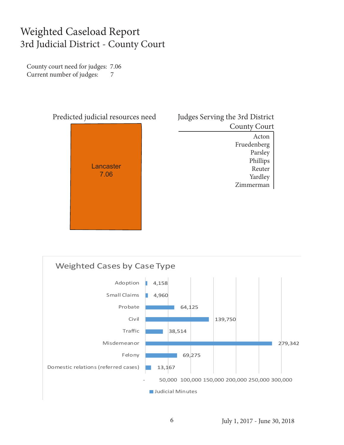#### Weighted Caseload Report 3rd Judicial District - County Court

County court need for judges: 7.06 Current number of judges: 7



#### Judges Serving the 3rd District County Court Acton Fruedenberg Parsley Phillips Reuter Yardley Zimmerman

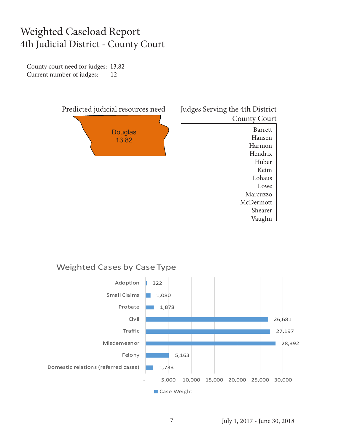#### Weighted Caseload Report 4th Judicial District - County Court

County court need for judges: 13.82 Current number of judges: 12



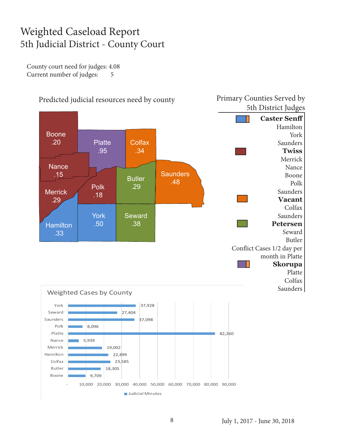#### Weighted Caseload Report 5th Judicial District - County Court

County court need for judges: 4.08 Current number of judges: 5

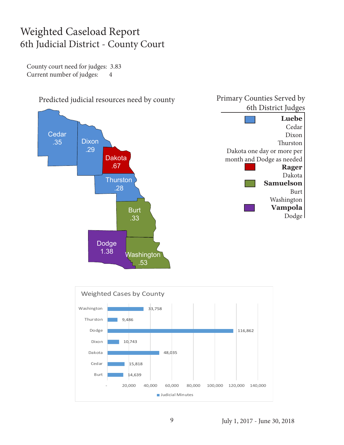#### Weighted Caseload Report 6th Judicial District - County Court

County court need for judges: 3.83 Current number of judges: 4



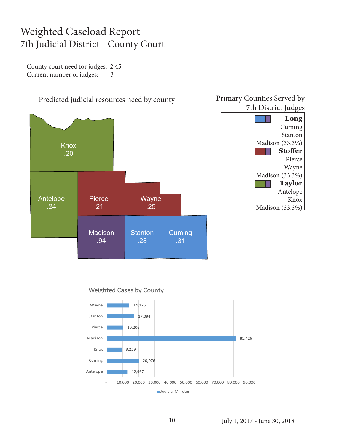#### Weighted Caseload Report 7th Judicial District - County Court

County court need for judges: 2.45 Current number of judges: 3





July 1, 2017 - June 30, 2018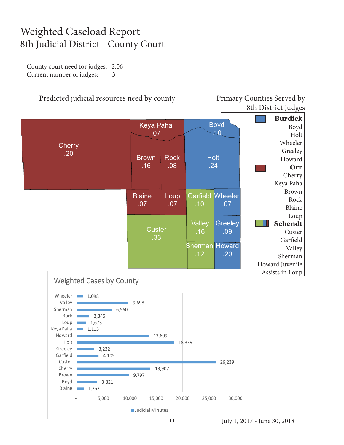#### Weighted Caseload Report 8th Judicial District - County Court

County court need for judges: 2.06 Current number of judges: 3

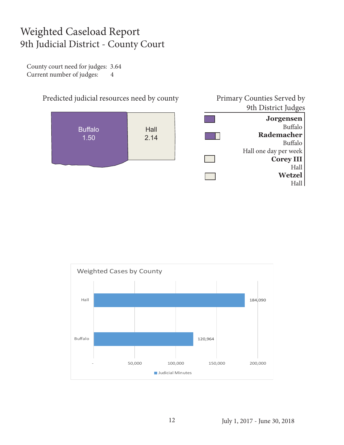#### Weighted Caseload Report 9th Judicial District - County Court

County court need for judges: 3.64 Current number of judges: 4



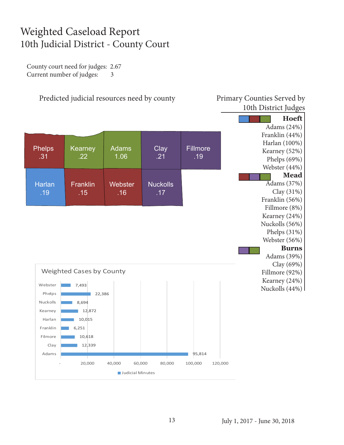#### Weighted Caseload Report 10th Judicial District - County Court

County court need for judges: 2.67 Current number of judges: 3

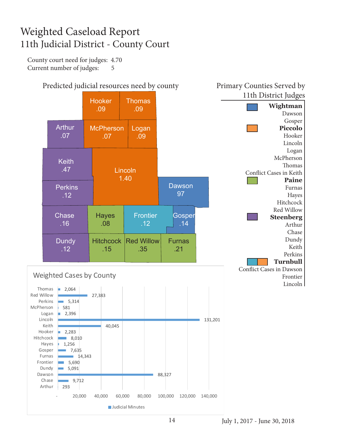#### Weighted Caseload Report 11th Judicial District - County Court

County court need for judges: 4.70 Current number of judges: 5